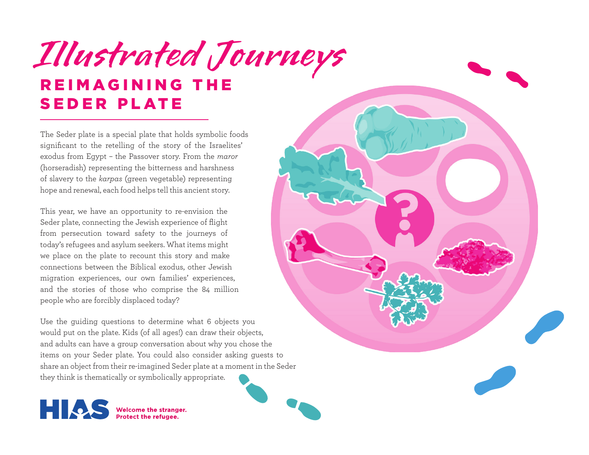## **REIMAGINING THE** SEDER PLATE **Illustrated Journeys**

The Seder plate is a special plate that holds symbolic foods significant to the retelling of the story of the Israelites' exodus from Egypt – the Passover story. From the *maror* (horseradish) representing the bitterness and harshness of slavery to the *karpas* (green vegetable) representing hope and renewal, each food helps tell this ancient story.

This year, we have an opportunity to re-envision the Seder plate, connecting the Jewish experience of flight from persecution toward safety to the journeys of today's refugees and asylum seekers. What items might we place on the plate to recount this story and make connections between the Biblical exodus, other Jewish migration experiences, our own families' experiences, and the stories of those who comprise the 84 million people who are forcibly displaced today?

Use the guiding questions to determine what 6 objects you would put on the plate. Kids (of all ages!) can draw their objects, and adults can have a group conversation about why you chose the items on your Seder plate. You could also consider asking guests to share an object from their re-imagined Seder plate at a moment in the Seder they think is thematically or symbolically appropriate.

Welcome the stranger.